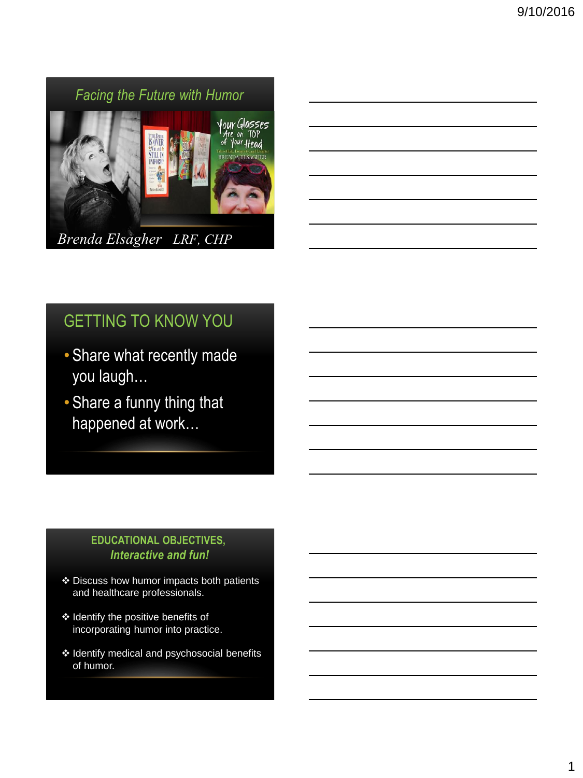# *Facing the Future with Humor* Your Glasses<br>Are on TOP<br>of Your Head OVE **BRENDA ELSAGHER** *Brenda Elsagher LRF, CHP*

# GETTING TO KNOW YOU

- Share what recently made you laugh…
- Share a funny thing that happened at work…

### **EDUCATIONAL OBJECTIVES,** *Interactive and fun!*

- Discuss how humor impacts both patients and healthcare professionals.
- ❖ Identify the positive benefits of incorporating humor into practice.
- \* Identify medical and psychosocial benefits of humor.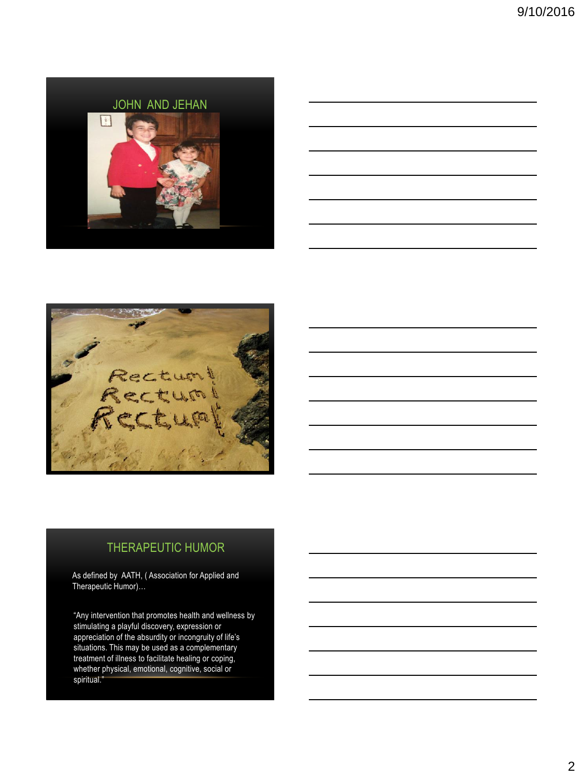





### THERAPEUTIC HUMOR

As defined by AATH, ( Association for Applied and Therapeutic Humor)…

"Any intervention that promotes health and wellness by stimulating a playful discovery, expression or appreciation of the absurdity or incongruity of life's situations. This may be used as a complementary treatment of illness to facilitate healing or coping, whether physical, emotional, cognitive, social or spiritual."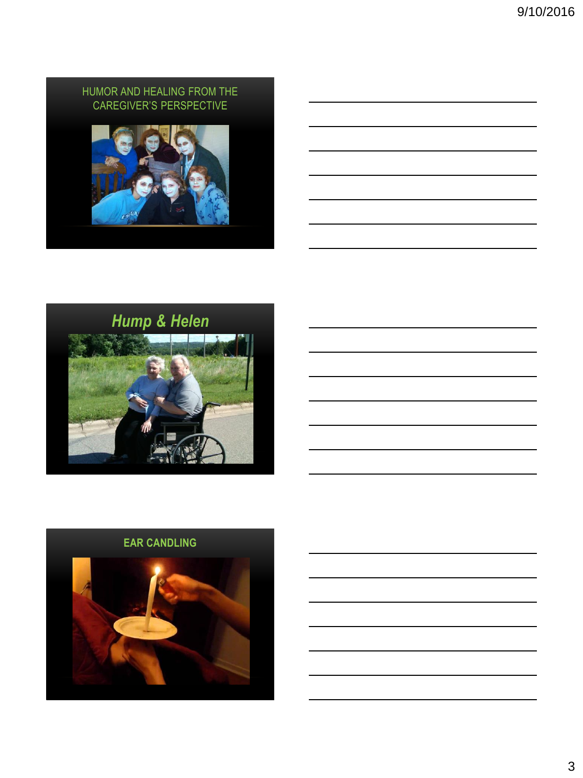### HUMOR AND HEALING FROM THE CAREGIVER'S PERSPECTIVE





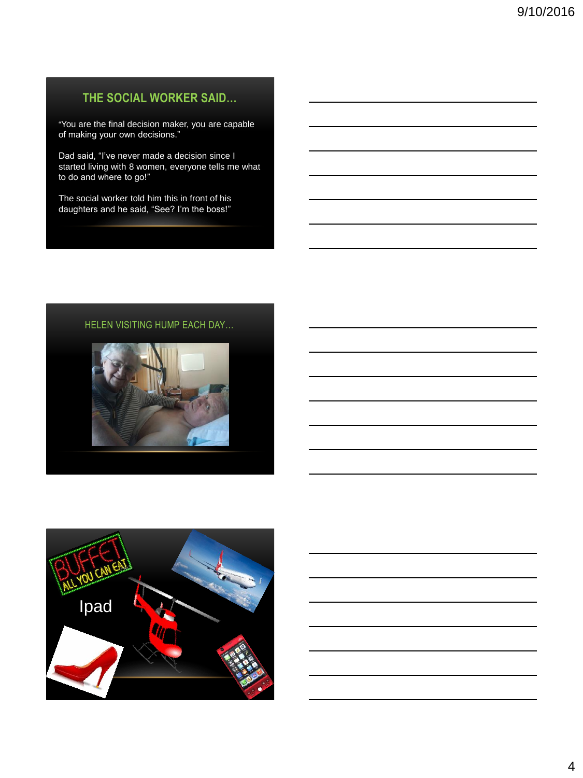### **THE SOCIAL WORKER SAID…**

"You are the final decision maker, you are capable of making your own decisions."

Dad said, "I've never made a decision since I started living with 8 women, everyone tells me what to do and where to go!"

The social worker told him this in front of his daughters and he said, "See? I'm the boss!"

### HELEN VISITING HUMP EACH DAY…



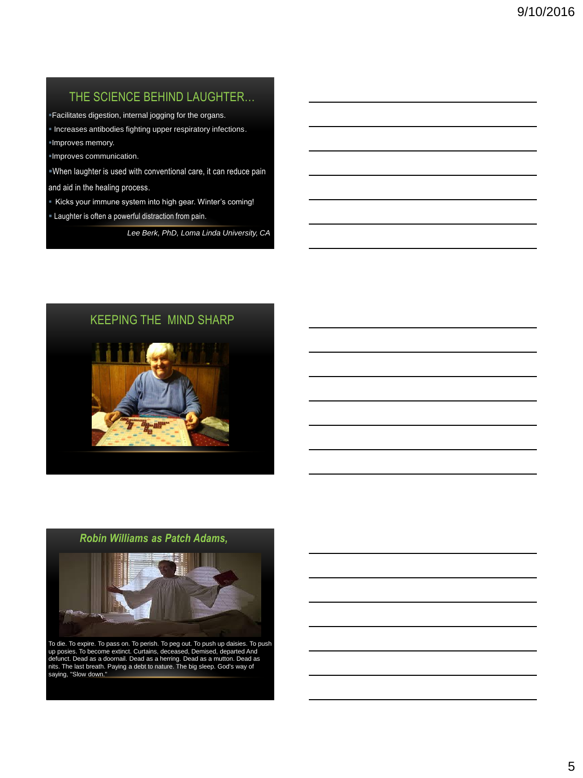### THE SCIENCE BEHIND LAUGHTER…

Facilitates digestion, internal jogging for the organs.

**Increases antibodies fighting upper respiratory infections.** Improves memory.

Improves communication.

When laughter is used with conventional care, it can reduce pain

and aid in the healing process.

- Kicks your immune system into high gear. Winter's coming!
- Laughter is often a powerful distraction from pain.

*Lee Berk, PhD, Loma Linda University, CA*

### KEEPING THE MIND SHARP



### *Robin Williams as Patch Adams,*



To die. To expire. To pass on. To perish. To peg out. To push up daisies. To push up posies. To become extinct. Curtains, deceased, Demised, departed And defunct. Dead as a doornail. Dead as a herring. Dead as a mutton. Dead as nits. The last breath. Paying a debt to nature. The big sleep. God's way of saying, "Slow down."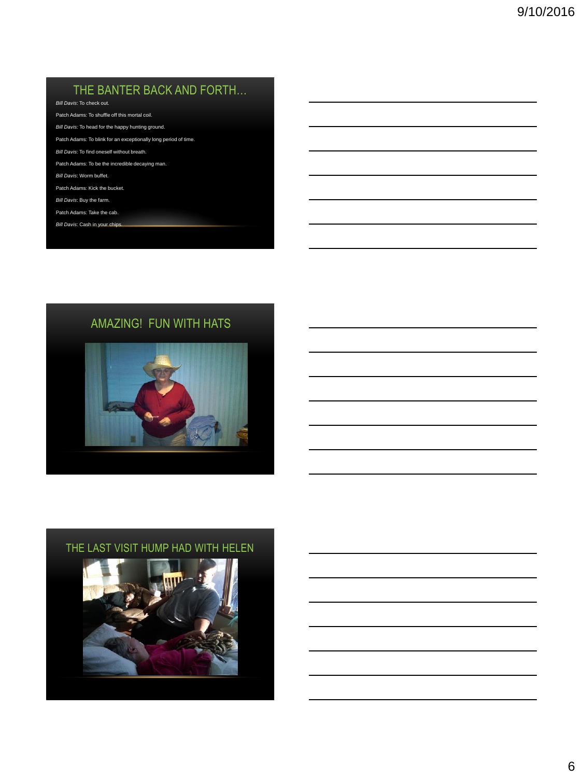### THE BANTER BACK AND FORTH…

*Bill Davis*: To check out.

- Patch Adams: To shuffle off this mortal coil.
- *Bill Davis:* To head for the happy hunting ground.
- Patch Adams: To blink for an exceptionally long period of time.
- *Bill Davis*: To find oneself without breath.
- Patch Adams: To be the incredible decaying man.
- *Bill Davis*: Worm buffet.
- Patch Adams: Kick the bucket.
- *Bill Davis*: Buy the farm.
- Patch Adams: Take the cab.
- *Bill Davis*: Cash in your chips.

### AMAZING! FUN WITH HATS



### THE LAST VISIT HUMP HAD WITH HELEN

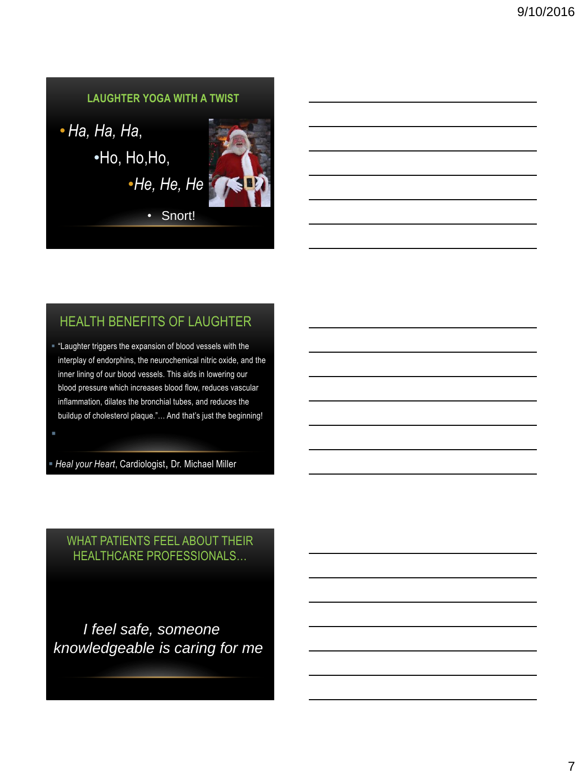

## HEALTH BENEFITS OF LAUGHTER

 "Laughter triggers the expansion of blood vessels with the interplay of endorphins, the neurochemical nitric oxide, and the inner lining of our blood vessels. This aids in lowering our blood pressure which increases blood flow, reduces vascular inflammation, dilates the bronchial tubes, and reduces the buildup of cholesterol plaque."… And that's just the beginning!

*Heal your Heart*, Cardiologist, Dr. Michael Miller

WHAT PATIENTS FEEL ABOUT THEIR HEALTHCARE PROFESSIONALS…

 *I feel safe, someone knowledgeable is caring for me*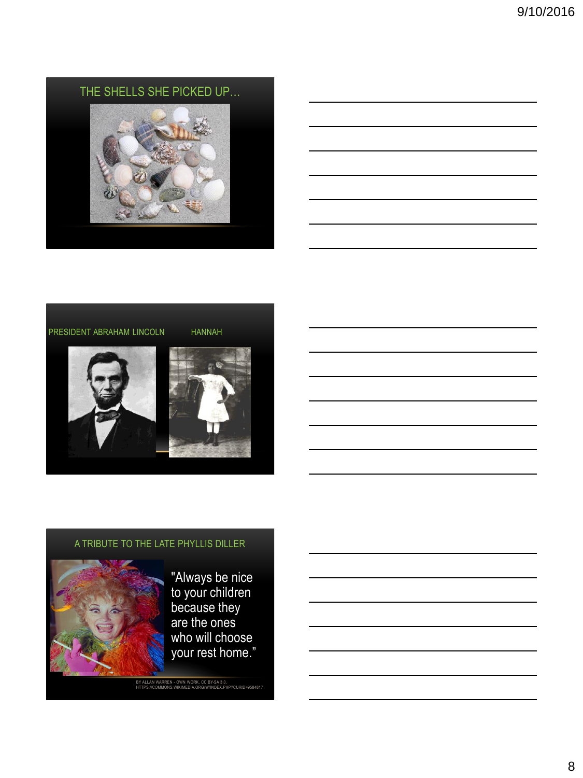# THE SHELLS SHE PICKED UP…

### PRESIDENT ABRAHAM LINCOLN HANNAH





### A TRIBUTE TO THE LATE PHYLLIS DILLER



"Always be nice to your children because they are the ones who will choose your rest home."

BY ALLAN WARREN - OWN WORK, CC BY-SA 3.0, HTTPS://COMMONS.WIKIMEDIA.ORG/W/INDEX.PHP?CURID=9584817